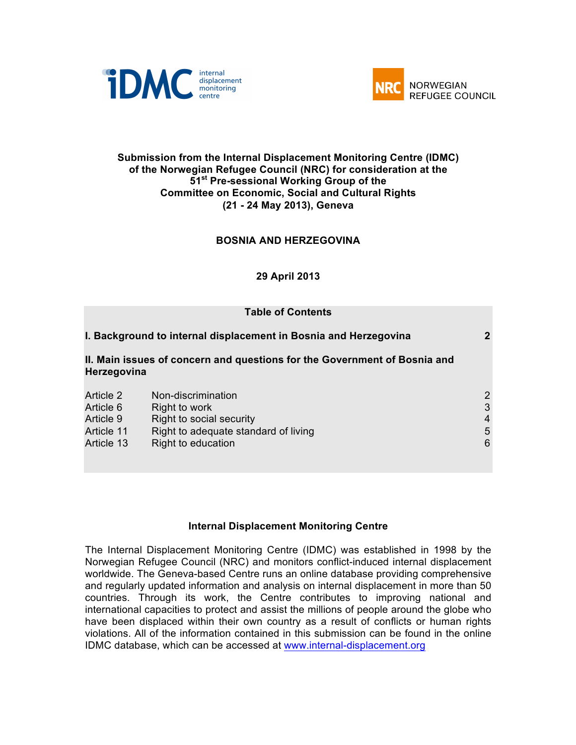



## **Submission from the Internal Displacement Monitoring Centre (IDMC) of the Norwegian Refugee Council (NRC) for consideration at the 51st Pre-sessional Working Group of the Committee on Economic, Social and Cultural Rights (21 - 24 May 2013), Geneva**

# **BOSNIA AND HERZEGOVINA**

#### **29 April 2013**

| <b>Table of Contents</b>                                                                 |                                                                  |                |
|------------------------------------------------------------------------------------------|------------------------------------------------------------------|----------------|
|                                                                                          | I. Background to internal displacement in Bosnia and Herzegovina | $\mathbf 2$    |
| II. Main issues of concern and questions for the Government of Bosnia and<br>Herzegovina |                                                                  |                |
| Article 2                                                                                | Non-discrimination                                               | $\overline{2}$ |
| Article 6                                                                                | Right to work                                                    | 3              |
| Article 9                                                                                | Right to social security                                         | $\overline{4}$ |
| Article 11                                                                               | Right to adequate standard of living                             | 5              |
| Article 13                                                                               | Right to education                                               | 6              |

#### **Internal Displacement Monitoring Centre**

The Internal Displacement Monitoring Centre (IDMC) was established in 1998 by the Norwegian Refugee Council (NRC) and monitors conflict-induced internal displacement worldwide. The Geneva-based Centre runs an online database providing comprehensive and regularly updated information and analysis on internal displacement in more than 50 countries. Through its work, the Centre contributes to improving national and international capacities to protect and assist the millions of people around the globe who have been displaced within their own country as a result of conflicts or human rights violations. All of the information contained in this submission can be found in the online IDMC database, which can be accessed at www.internal-displacement.org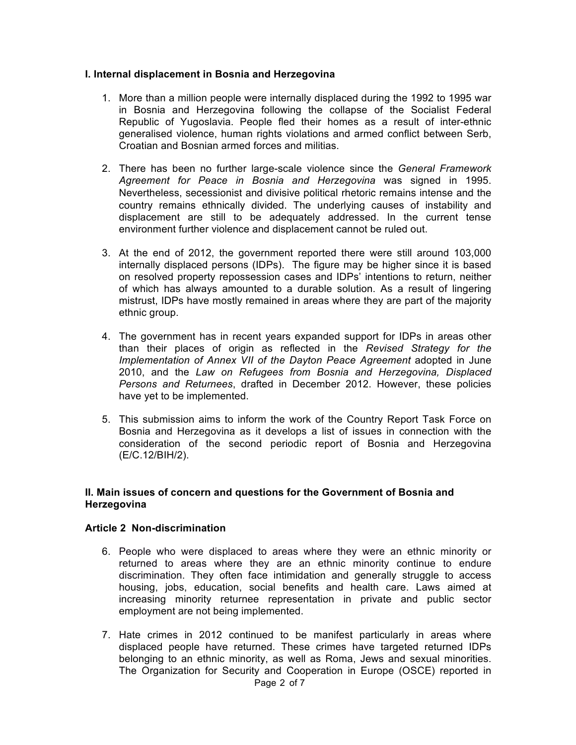## **I. Internal displacement in Bosnia and Herzegovina**

- 1. More than a million people were internally displaced during the 1992 to 1995 war in Bosnia and Herzegovina following the collapse of the Socialist Federal Republic of Yugoslavia. People fled their homes as a result of inter-ethnic generalised violence, human rights violations and armed conflict between Serb, Croatian and Bosnian armed forces and militias.
- 2. There has been no further large-scale violence since the *General Framework Agreement for Peace in Bosnia and Herzegovina* was signed in 1995. Nevertheless, secessionist and divisive political rhetoric remains intense and the country remains ethnically divided. The underlying causes of instability and displacement are still to be adequately addressed. In the current tense environment further violence and displacement cannot be ruled out.
- 3. At the end of 2012, the government reported there were still around 103,000 internally displaced persons (IDPs). The figure may be higher since it is based on resolved property repossession cases and IDPs' intentions to return, neither of which has always amounted to a durable solution. As a result of lingering mistrust, IDPs have mostly remained in areas where they are part of the majority ethnic group.
- 4. The government has in recent years expanded support for IDPs in areas other than their places of origin as reflected in the *Revised Strategy for the Implementation of Annex VII of the Dayton Peace Agreement* adopted in June 2010, and the *Law on Refugees from Bosnia and Herzegovina, Displaced Persons and Returnees*, drafted in December 2012. However, these policies have yet to be implemented.
- 5. This submission aims to inform the work of the Country Report Task Force on Bosnia and Herzegovina as it develops a list of issues in connection with the consideration of the second periodic report of Bosnia and Herzegovina (E/C.12/BIH/2).

## **II. Main issues of concern and questions for the Government of Bosnia and Herzegovina**

## **Article 2 Non-discrimination**

- 6. People who were displaced to areas where they were an ethnic minority or returned to areas where they are an ethnic minority continue to endure discrimination. They often face intimidation and generally struggle to access housing, jobs, education, social benefits and health care. Laws aimed at increasing minority returnee representation in private and public sector employment are not being implemented.
- 7. Hate crimes in 2012 continued to be manifest particularly in areas where displaced people have returned. These crimes have targeted returned IDPs belonging to an ethnic minority, as well as Roma, Jews and sexual minorities. The Organization for Security and Cooperation in Europe (OSCE) reported in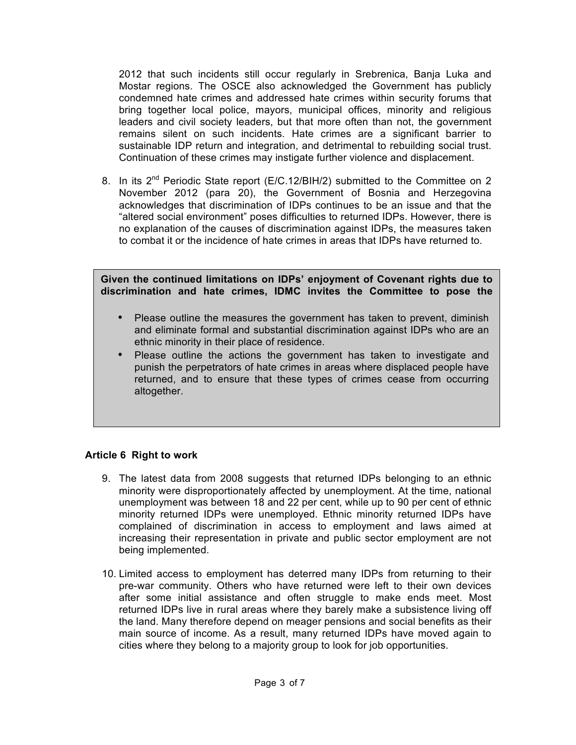2012 that such incidents still occur regularly in Srebrenica, Banja Luka and Mostar regions. The OSCE also acknowledged the Government has publicly condemned hate crimes and addressed hate crimes within security forums that bring together local police, mayors, municipal offices, minority and religious leaders and civil society leaders, but that more often than not, the government remains silent on such incidents. Hate crimes are a significant barrier to sustainable IDP return and integration, and detrimental to rebuilding social trust. Continuation of these crimes may instigate further violence and displacement.

8. In its  $2^{nd}$  Periodic State report (E/C.12/BIH/2) submitted to the Committee on 2 November 2012 (para 20), the Government of Bosnia and Herzegovina acknowledges that discrimination of IDPs continues to be an issue and that the "altered social environment" poses difficulties to returned IDPs. However, there is no explanation of the causes of discrimination against IDPs, the measures taken to combat it or the incidence of hate crimes in areas that IDPs have returned to.

**Given the continued limitations on IDPs' enjoyment of Covenant rights due to discrimination and hate crimes, IDMC invites the Committee to pose the** 

- Please outline the measures the government has taken to prevent, diminish and eliminate formal and substantial discrimination against IDPs who are an ethnic minority in their place of residence.
- Please outline the actions the government has taken to investigate and punish the perpetrators of hate crimes in areas where displaced people have returned, and to ensure that these types of crimes cease from occurring altogether.

# **Article 6 Right to work**

- 9. The latest data from 2008 suggests that returned IDPs belonging to an ethnic minority were disproportionately affected by unemployment. At the time, national unemployment was between 18 and 22 per cent, while up to 90 per cent of ethnic minority returned IDPs were unemployed. Ethnic minority returned IDPs have complained of discrimination in access to employment and laws aimed at increasing their representation in private and public sector employment are not being implemented.
- 10. Limited access to employment has deterred many IDPs from returning to their pre-war community. Others who have returned were left to their own devices after some initial assistance and often struggle to make ends meet. Most returned IDPs live in rural areas where they barely make a subsistence living off the land. Many therefore depend on meager pensions and social benefits as their main source of income. As a result, many returned IDPs have moved again to cities where they belong to a majority group to look for job opportunities.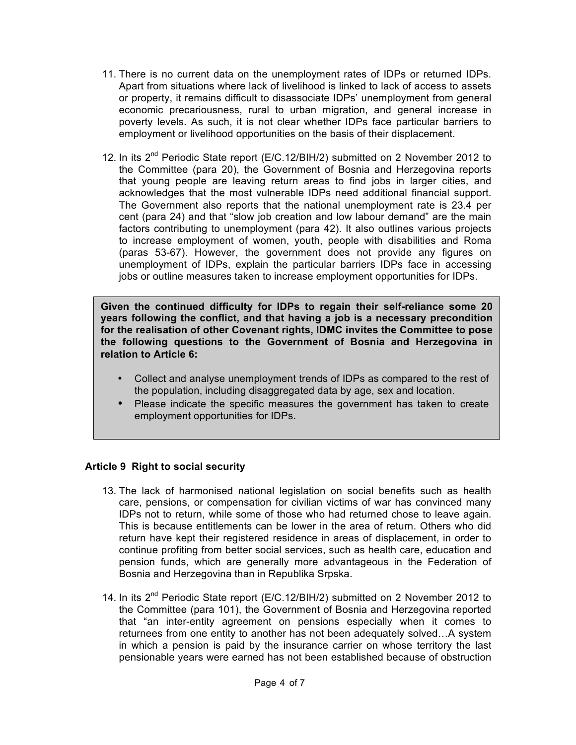- 11. There is no current data on the unemployment rates of IDPs or returned IDPs. Apart from situations where lack of livelihood is linked to lack of access to assets or property, it remains difficult to disassociate IDPs' unemployment from general economic precariousness, rural to urban migration, and general increase in poverty levels. As such, it is not clear whether IDPs face particular barriers to employment or livelihood opportunities on the basis of their displacement.
- 12. In its 2<sup>nd</sup> Periodic State report (E/C.12/BIH/2) submitted on 2 November 2012 to the Committee (para 20), the Government of Bosnia and Herzegovina reports that young people are leaving return areas to find jobs in larger cities, and acknowledges that the most vulnerable IDPs need additional financial support. The Government also reports that the national unemployment rate is 23.4 per cent (para 24) and that "slow job creation and low labour demand" are the main factors contributing to unemployment (para 42). It also outlines various projects to increase employment of women, youth, people with disabilities and Roma (paras 53-67). However, the government does not provide any figures on unemployment of IDPs, explain the particular barriers IDPs face in accessing jobs or outline measures taken to increase employment opportunities for IDPs.

**Given the continued difficulty for IDPs to regain their self-reliance some 20 years following the conflict, and that having a job is a necessary precondition for the realisation of other Covenant rights, IDMC invites the Committee to pose the following questions to the Government of Bosnia and Herzegovina in relation to Article 6:**

- Collect and analyse unemployment trends of IDPs as compared to the rest of the population, including disaggregated data by age, sex and location.
- Please indicate the specific measures the government has taken to create employment opportunities for IDPs.

# **Article 9 Right to social security**

- 13. The lack of harmonised national legislation on social benefits such as health care, pensions, or compensation for civilian victims of war has convinced many IDPs not to return, while some of those who had returned chose to leave again. This is because entitlements can be lower in the area of return. Others who did return have kept their registered residence in areas of displacement, in order to continue profiting from better social services, such as health care, education and pension funds, which are generally more advantageous in the Federation of Bosnia and Herzegovina than in Republika Srpska.
- 14. In its 2<sup>nd</sup> Periodic State report (E/C.12/BIH/2) submitted on 2 November 2012 to the Committee (para 101), the Government of Bosnia and Herzegovina reported that "an inter-entity agreement on pensions especially when it comes to returnees from one entity to another has not been adequately solved…A system in which a pension is paid by the insurance carrier on whose territory the last pensionable years were earned has not been established because of obstruction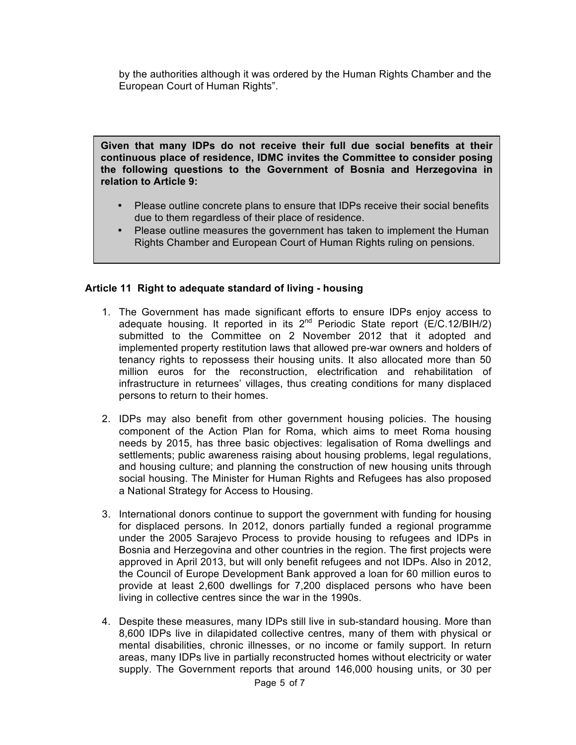by the authorities although it was ordered by the Human Rights Chamber and the European Court of Human Rights".

**Given that many IDPs do not receive their full due social benefits at their continuous place of residence, IDMC invites the Committee to consider posing the following questions to the Government of Bosnia and Herzegovina in relation to Article 9:**

- Please outline concrete plans to ensure that IDPs receive their social benefits due to them regardless of their place of residence.
- Please outline measures the government has taken to implement the Human Rights Chamber and European Court of Human Rights ruling on pensions.

## **Article 11 Right to adequate standard of living - housing**

- 1. The Government has made significant efforts to ensure IDPs enjoy access to adequate housing. It reported in its  $2^{nd}$  Periodic State report (E/C.12/BIH/2) submitted to the Committee on 2 November 2012 that it adopted and implemented property restitution laws that allowed pre-war owners and holders of tenancy rights to repossess their housing units. It also allocated more than 50 million euros for the reconstruction, electrification and rehabilitation of infrastructure in returnees' villages, thus creating conditions for many displaced persons to return to their homes.
- 2. IDPs may also benefit from other government housing policies. The housing component of the Action Plan for Roma, which aims to meet Roma housing needs by 2015, has three basic objectives: legalisation of Roma dwellings and settlements; public awareness raising about housing problems, legal regulations, and housing culture; and planning the construction of new housing units through social housing. The Minister for Human Rights and Refugees has also proposed a National Strategy for Access to Housing.
- 3. International donors continue to support the government with funding for housing for displaced persons. In 2012, donors partially funded a regional programme under the 2005 Sarajevo Process to provide housing to refugees and IDPs in Bosnia and Herzegovina and other countries in the region. The first projects were approved in April 2013, but will only benefit refugees and not IDPs. Also in 2012, the Council of Europe Development Bank approved a loan for 60 million euros to provide at least 2,600 dwellings for 7,200 displaced persons who have been living in collective centres since the war in the 1990s.
- 4. Despite these measures, many IDPs still live in sub-standard housing. More than 8,600 IDPs live in dilapidated collective centres, many of them with physical or mental disabilities, chronic illnesses, or no income or family support. In return areas, many IDPs live in partially reconstructed homes without electricity or water supply. The Government reports that around 146,000 housing units, or 30 per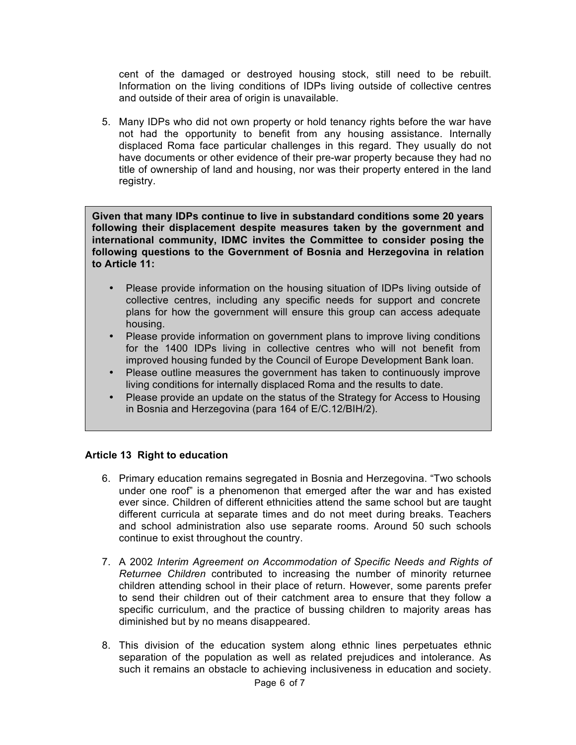cent of the damaged or destroyed housing stock, still need to be rebuilt. Information on the living conditions of IDPs living outside of collective centres and outside of their area of origin is unavailable.

5. Many IDPs who did not own property or hold tenancy rights before the war have not had the opportunity to benefit from any housing assistance. Internally displaced Roma face particular challenges in this regard. They usually do not have documents or other evidence of their pre-war property because they had no title of ownership of land and housing, nor was their property entered in the land registry.

**Given that many IDPs continue to live in substandard conditions some 20 years following their displacement despite measures taken by the government and international community, IDMC invites the Committee to consider posing the following questions to the Government of Bosnia and Herzegovina in relation to Article 11:**

- Please provide information on the housing situation of IDPs living outside of collective centres, including any specific needs for support and concrete plans for how the government will ensure this group can access adequate housing.
- Please provide information on government plans to improve living conditions for the 1400 IDPs living in collective centres who will not benefit from improved housing funded by the Council of Europe Development Bank loan.
- Please outline measures the government has taken to continuously improve living conditions for internally displaced Roma and the results to date.
- Please provide an update on the status of the Strategy for Access to Housing in Bosnia and Herzegovina (para 164 of E/C.12/BIH/2).

# **Article 13 Right to education**

- 6. Primary education remains segregated in Bosnia and Herzegovina. "Two schools under one roof" is a phenomenon that emerged after the war and has existed ever since. Children of different ethnicities attend the same school but are taught different curricula at separate times and do not meet during breaks. Teachers and school administration also use separate rooms. Around 50 such schools continue to exist throughout the country.
- 7. A 2002 *Interim Agreement on Accommodation of Specific Needs and Rights of Returnee Children* contributed to increasing the number of minority returnee children attending school in their place of return. However, some parents prefer to send their children out of their catchment area to ensure that they follow a specific curriculum, and the practice of bussing children to majority areas has diminished but by no means disappeared.
- 8. This division of the education system along ethnic lines perpetuates ethnic separation of the population as well as related prejudices and intolerance. As such it remains an obstacle to achieving inclusiveness in education and society.